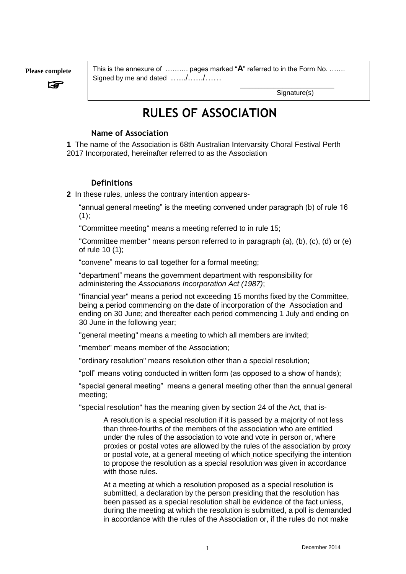**Please complete**

☞

This is the annexure of ………. pages marked "**A**" referred to in the Form No. ……. Signed by me and dated ....../....../......

Signature(s)

\_\_\_\_\_\_\_\_\_\_\_\_\_\_\_\_\_\_\_\_\_\_\_\_\_\_\_\_\_\_\_

# **RULES OF ASSOCIATION**

#### **Name of Association**

**1** The name of the Association is 68th Australian Intervarsity Choral Festival Perth 2017 Incorporated, hereinafter referred to as the Association

#### **Definitions**

**2** In these rules, unless the contrary intention appears-

"annual general meeting" is the meeting convened under paragraph (b) of rule 16  $(1)$ ;

"Committee meeting" means a meeting referred to in rule 15;

"Committee member" means person referred to in paragraph (a), (b), (c), (d) or (e) of rule 10 (1);

"convene" means to call together for a formal meeting;

"department" means the government department with responsibility for administering the *Associations Incorporation Act (1987)*;

"financial year" means a period not exceeding 15 months fixed by the Committee, being a period commencing on the date of incorporation of the Association and ending on 30 June; and thereafter each period commencing 1 July and ending on 30 June in the following year;

"general meeting" means a meeting to which all members are invited;

"member" means member of the Association;

"ordinary resolution" means resolution other than a special resolution;

"poll" means voting conducted in written form (as opposed to a show of hands);

"special general meeting" means a general meeting other than the annual general meeting;

"special resolution" has the meaning given by section 24 of the Act, that is-

A resolution is a special resolution if it is passed by a majority of not less than three-fourths of the members of the association who are entitled under the rules of the association to vote and vote in person or, where proxies or postal votes are allowed by the rules of the association by proxy or postal vote, at a general meeting of which notice specifying the intention to propose the resolution as a special resolution was given in accordance with those rules.

At a meeting at which a resolution proposed as a special resolution is submitted, a declaration by the person presiding that the resolution has been passed as a special resolution shall be evidence of the fact unless, during the meeting at which the resolution is submitted, a poll is demanded in accordance with the rules of the Association or, if the rules do not make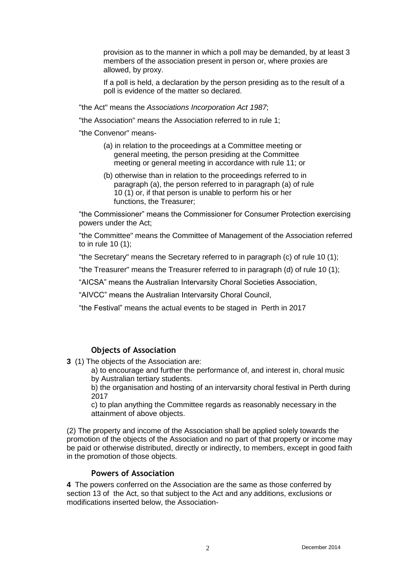provision as to the manner in which a poll may be demanded, by at least 3 members of the association present in person or, where proxies are allowed, by proxy.

If a poll is held, a declaration by the person presiding as to the result of a poll is evidence of the matter so declared.

"the Act" means the *Associations Incorporation Act 1987*;

"the Association" means the Association referred to in rule 1;

"the Convenor" means-

- (a) in relation to the proceedings at a Committee meeting or general meeting, the person presiding at the Committee meeting or general meeting in accordance with rule 11; or
- (b) otherwise than in relation to the proceedings referred to in paragraph (a), the person referred to in paragraph (a) of rule 10 (1) or, if that person is unable to perform his or her functions, the Treasurer;

"the Commissioner" means the Commissioner for Consumer Protection exercising powers under the Act;

"the Committee" means the Committee of Management of the Association referred to in rule 10 (1);

"the Secretary" means the Secretary referred to in paragraph (c) of rule 10 (1);

"the Treasurer" means the Treasurer referred to in paragraph (d) of rule 10 (1);

"AICSA" means the Australian Intervarsity Choral Societies Association,

"AIVCC" means the Australian Intervarsity Choral Council,

"the Festival" means the actual events to be staged in Perth in 2017

#### **Objects of Association**

**3** (1) The objects of the Association are:

a) to encourage and further the performance of, and interest in, choral music by Australian tertiary students.

b) the organisation and hosting of an intervarsity choral festival in Perth during 2017

c) to plan anything the Committee regards as reasonably necessary in the attainment of above objects.

(2) The property and income of the Association shall be applied solely towards the promotion of the objects of the Association and no part of that property or income may be paid or otherwise distributed, directly or indirectly, to members, except in good faith in the promotion of those objects.

## **Powers of Association**

**4** The powers conferred on the Association are the same as those conferred by section 13 of the Act, so that subject to the Act and any additions, exclusions or modifications inserted below, the Association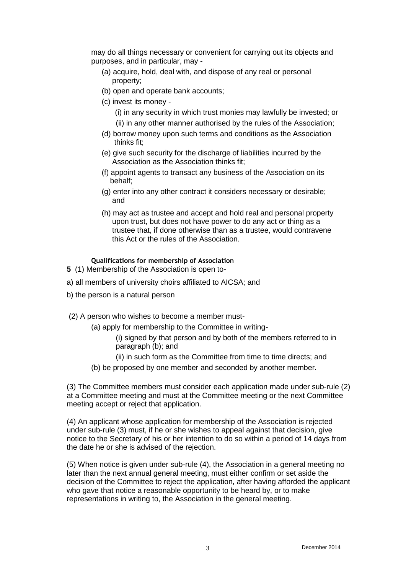may do all things necessary or convenient for carrying out its objects and purposes, and in particular, may -

- (a) acquire, hold, deal with, and dispose of any real or personal property;
- (b) open and operate bank accounts;
- (c) invest its money
	- (i) in any security in which trust monies may lawfully be invested; or
	- (ii) in any other manner authorised by the rules of the Association;
- (d) borrow money upon such terms and conditions as the Association thinks fit;
- (e) give such security for the discharge of liabilities incurred by the Association as the Association thinks fit;
- (f) appoint agents to transact any business of the Association on its behalf;
- (g) enter into any other contract it considers necessary or desirable; and
- (h) may act as trustee and accept and hold real and personal property upon trust, but does not have power to do any act or thing as a trustee that, if done otherwise than as a trustee, would contravene this Act or the rules of the Association.

#### **Qualifications for membership of Association**

- **5** (1) Membership of the Association is open to-
- a) all members of university choirs affiliated to AICSA; and
- b) the person is a natural person
- (2) A person who wishes to become a member must-
	- (a) apply for membership to the Committee in writing-
		- (i) signed by that person and by both of the members referred to in paragraph (b); and
		- (ii) in such form as the Committee from time to time directs; and
	- (b) be proposed by one member and seconded by another member.

(3) The Committee members must consider each application made under sub-rule (2) at a Committee meeting and must at the Committee meeting or the next Committee meeting accept or reject that application.

(4) An applicant whose application for membership of the Association is rejected under sub-rule (3) must, if he or she wishes to appeal against that decision, give notice to the Secretary of his or her intention to do so within a period of 14 days from the date he or she is advised of the rejection.

(5) When notice is given under sub-rule (4), the Association in a general meeting no later than the next annual general meeting, must either confirm or set aside the decision of the Committee to reject the application, after having afforded the applicant who gave that notice a reasonable opportunity to be heard by, or to make representations in writing to, the Association in the general meeting.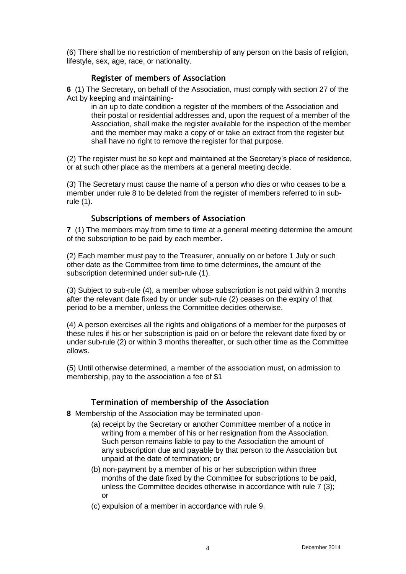(6) There shall be no restriction of membership of any person on the basis of religion, lifestyle, sex, age, race, or nationality.

## **Register of members of Association**

**6** (1) The Secretary, on behalf of the Association, must comply with section 27 of the Act by keeping and maintaining-

in an up to date condition a register of the members of the Association and their postal or residential addresses and, upon the request of a member of the Association, shall make the register available for the inspection of the member and the member may make a copy of or take an extract from the register but shall have no right to remove the register for that purpose.

(2) The register must be so kept and maintained at the Secretary's place of residence, or at such other place as the members at a general meeting decide.

(3) The Secretary must cause the name of a person who dies or who ceases to be a member under rule 8 to be deleted from the register of members referred to in subrule (1).

#### **Subscriptions of members of Association**

**7** (1) The members may from time to time at a general meeting determine the amount of the subscription to be paid by each member.

(2) Each member must pay to the Treasurer, annually on or before 1 July or such other date as the Committee from time to time determines, the amount of the subscription determined under sub-rule (1).

(3) Subject to sub-rule (4), a member whose subscription is not paid within 3 months after the relevant date fixed by or under sub-rule (2) ceases on the expiry of that period to be a member, unless the Committee decides otherwise.

(4) A person exercises all the rights and obligations of a member for the purposes of these rules if his or her subscription is paid on or before the relevant date fixed by or under sub-rule (2) or within 3 months thereafter, or such other time as the Committee allows.

(5) Until otherwise determined, a member of the association must, on admission to membership, pay to the association a fee of \$1

## **Termination of membership of the Association**

**8** Membership of the Association may be terminated upon-

- (a) receipt by the Secretary or another Committee member of a notice in writing from a member of his or her resignation from the Association. Such person remains liable to pay to the Association the amount of any subscription due and payable by that person to the Association but unpaid at the date of termination; or
- (b) non-payment by a member of his or her subscription within three months of the date fixed by the Committee for subscriptions to be paid, unless the Committee decides otherwise in accordance with rule 7 (3); or
- (c) expulsion of a member in accordance with rule 9.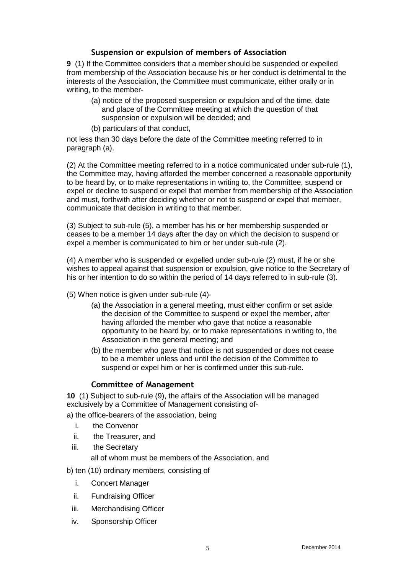# **Suspension or expulsion of members of Association**

**9** (1) If the Committee considers that a member should be suspended or expelled from membership of the Association because his or her conduct is detrimental to the interests of the Association, the Committee must communicate, either orally or in writing, to the member-

- (a) notice of the proposed suspension or expulsion and of the time, date and place of the Committee meeting at which the question of that suspension or expulsion will be decided; and
- (b) particulars of that conduct,

not less than 30 days before the date of the Committee meeting referred to in paragraph (a).

(2) At the Committee meeting referred to in a notice communicated under sub-rule (1), the Committee may, having afforded the member concerned a reasonable opportunity to be heard by, or to make representations in writing to, the Committee, suspend or expel or decline to suspend or expel that member from membership of the Association and must, forthwith after deciding whether or not to suspend or expel that member, communicate that decision in writing to that member.

(3) Subject to sub-rule (5), a member has his or her membership suspended or ceases to be a member 14 days after the day on which the decision to suspend or expel a member is communicated to him or her under sub-rule (2).

(4) A member who is suspended or expelled under sub-rule (2) must, if he or she wishes to appeal against that suspension or expulsion, give notice to the Secretary of his or her intention to do so within the period of 14 days referred to in sub-rule (3).

- (5) When notice is given under sub-rule (4)-
	- (a) the Association in a general meeting, must either confirm or set aside the decision of the Committee to suspend or expel the member, after having afforded the member who gave that notice a reasonable opportunity to be heard by, or to make representations in writing to, the Association in the general meeting; and
	- (b) the member who gave that notice is not suspended or does not cease to be a member unless and until the decision of the Committee to suspend or expel him or her is confirmed under this sub-rule.

## **Committee of Management**

**10** (1) Subject to sub-rule (9), the affairs of the Association will be managed exclusively by a Committee of Management consisting of-

a) the office-bearers of the association, being

- i. the Convenor
- ii. the Treasurer, and
- iii. the Secretary

all of whom must be members of the Association, and

b) ten (10) ordinary members, consisting of

- i. Concert Manager
- ii. Fundraising Officer
- iii. Merchandising Officer
- iv. Sponsorship Officer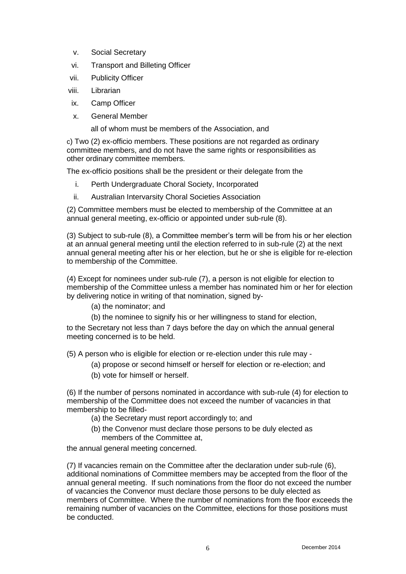- v. Social Secretary
- vi. Transport and Billeting Officer
- vii. Publicity Officer
- viii. Librarian
- ix. Camp Officer
- x. General Member

all of whom must be members of the Association, and

c) Two (2) ex-officio members. These positions are not regarded as ordinary committee members, and do not have the same rights or responsibilities as other ordinary committee members.

The ex-officio positions shall be the president or their delegate from the

- i. Perth Undergraduate Choral Society, Incorporated
- ii. Australian Intervarsity Choral Societies Association

(2) Committee members must be elected to membership of the Committee at an annual general meeting, ex-officio or appointed under sub-rule (8).

(3) Subject to sub-rule (8), a Committee member's term will be from his or her election at an annual general meeting until the election referred to in sub-rule (2) at the next annual general meeting after his or her election, but he or she is eligible for re-election to membership of the Committee.

(4) Except for nominees under sub-rule (7), a person is not eligible for election to membership of the Committee unless a member has nominated him or her for election by delivering notice in writing of that nomination, signed by-

- (a) the nominator; and
- (b) the nominee to signify his or her willingness to stand for election,

to the Secretary not less than 7 days before the day on which the annual general meeting concerned is to be held.

(5) A person who is eligible for election or re-election under this rule may -

- (a) propose or second himself or herself for election or re-election; and
- (b) vote for himself or herself.

(6) If the number of persons nominated in accordance with sub-rule (4) for election to membership of the Committee does not exceed the number of vacancies in that membership to be filled-

- (a) the Secretary must report accordingly to; and
- (b) the Convenor must declare those persons to be duly elected as members of the Committee at,

the annual general meeting concerned.

(7) If vacancies remain on the Committee after the declaration under sub-rule (6), additional nominations of Committee members may be accepted from the floor of the annual general meeting. If such nominations from the floor do not exceed the number of vacancies the Convenor must declare those persons to be duly elected as members of Committee. Where the number of nominations from the floor exceeds the remaining number of vacancies on the Committee, elections for those positions must be conducted.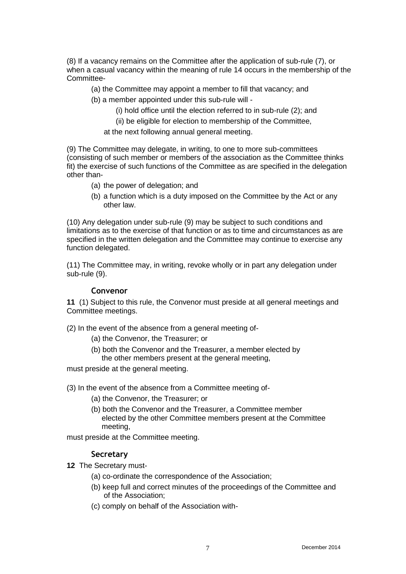(8) If a vacancy remains on the Committee after the application of sub-rule (7), or when a casual vacancy within the meaning of rule 14 occurs in the membership of the Committee-

- (a) the Committee may appoint a member to fill that vacancy; and
- (b) a member appointed under this sub-rule will
	- (i) hold office until the election referred to in sub-rule (2); and
	- (ii) be eligible for election to membership of the Committee,

at the next following annual general meeting.

(9) The Committee may delegate, in writing, to one to more sub-committees (consisting of such member or members of the association as the Committee thinks fit) the exercise of such functions of the Committee as are specified in the delegation other than-

- (a) the power of delegation; and
- (b) a function which is a duty imposed on the Committee by the Act or any other law.

(10) Any delegation under sub-rule (9) may be subject to such conditions and limitations as to the exercise of that function or as to time and circumstances as are specified in the written delegation and the Committee may continue to exercise any function delegated.

(11) The Committee may, in writing, revoke wholly or in part any delegation under sub-rule (9).

#### **Convenor**

**11** (1) Subject to this rule, the Convenor must preside at all general meetings and Committee meetings.

(2) In the event of the absence from a general meeting of-

- (a) the Convenor, the Treasurer; or
- (b) both the Convenor and the Treasurer, a member elected by the other members present at the general meeting,

must preside at the general meeting.

(3) In the event of the absence from a Committee meeting of-

- (a) the Convenor, the Treasurer; or
- (b) both the Convenor and the Treasurer, a Committee member elected by the other Committee members present at the Committee meeting,

must preside at the Committee meeting.

## **Secretary**

- **12** The Secretary must-
	- (a) co-ordinate the correspondence of the Association;
	- (b) keep full and correct minutes of the proceedings of the Committee and of the Association;
	- (c) comply on behalf of the Association with-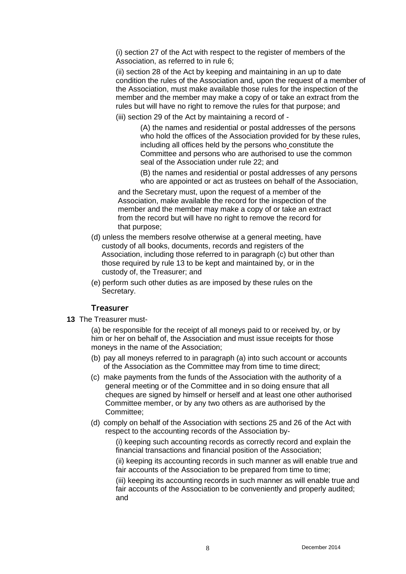(i) section 27 of the Act with respect to the register of members of the Association, as referred to in rule 6;

(ii) section 28 of the Act by keeping and maintaining in an up to date condition the rules of the Association and, upon the request of a member of the Association, must make available those rules for the inspection of the member and the member may make a copy of or take an extract from the rules but will have no right to remove the rules for that purpose; and

(iii) section 29 of the Act by maintaining a record of -

(A) the names and residential or postal addresses of the persons who hold the offices of the Association provided for by these rules, including all offices held by the persons who constitute the Committee and persons who are authorised to use the common seal of the Association under rule 22; and

(B) the names and residential or postal addresses of any persons who are appointed or act as trustees on behalf of the Association,

and the Secretary must, upon the request of a member of the Association, make available the record for the inspection of the member and the member may make a copy of or take an extract from the record but will have no right to remove the record for that purpose;

- (d) unless the members resolve otherwise at a general meeting, have custody of all books, documents, records and registers of the Association, including those referred to in paragraph (c) but other than those required by rule 13 to be kept and maintained by, or in the custody of, the Treasurer; and
- (e) perform such other duties as are imposed by these rules on the Secretary.

#### **Treasurer**

**13** The Treasurer must-

(a) be responsible for the receipt of all moneys paid to or received by, or by him or her on behalf of, the Association and must issue receipts for those moneys in the name of the Association;

- (b) pay all moneys referred to in paragraph (a) into such account or accounts of the Association as the Committee may from time to time direct;
- (c) make payments from the funds of the Association with the authority of a general meeting or of the Committee and in so doing ensure that all cheques are signed by himself or herself and at least one other authorised Committee member, or by any two others as are authorised by the Committee;
- (d) comply on behalf of the Association with sections 25 and 26 of the Act with respect to the accounting records of the Association by-

(i) keeping such accounting records as correctly record and explain the financial transactions and financial position of the Association;

(ii) keeping its accounting records in such manner as will enable true and fair accounts of the Association to be prepared from time to time;

(iii) keeping its accounting records in such manner as will enable true and fair accounts of the Association to be conveniently and properly audited; and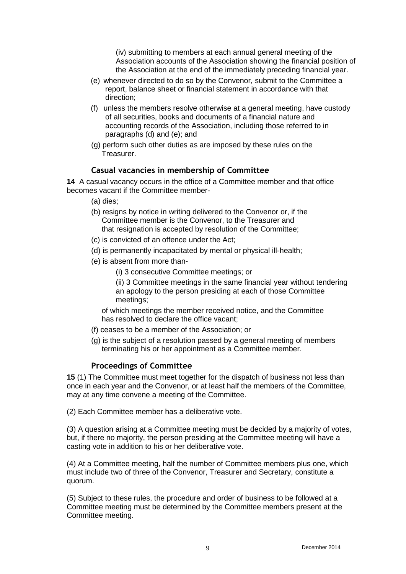(iv) submitting to members at each annual general meeting of the Association accounts of the Association showing the financial position of the Association at the end of the immediately preceding financial year.

- (e) whenever directed to do so by the Convenor, submit to the Committee a report, balance sheet or financial statement in accordance with that direction;
- (f) unless the members resolve otherwise at a general meeting, have custody of all securities, books and documents of a financial nature and accounting records of the Association, including those referred to in paragraphs (d) and (e); and
- (g) perform such other duties as are imposed by these rules on the Treasurer.

#### **Casual vacancies in membership of Committee**

**14** A casual vacancy occurs in the office of a Committee member and that office becomes vacant if the Committee member-

- (a) dies;
- (b) resigns by notice in writing delivered to the Convenor or, if the Committee member is the Convenor, to the Treasurer and that resignation is accepted by resolution of the Committee;
- (c) is convicted of an offence under the Act;
- (d) is permanently incapacitated by mental or physical ill-health;
- (e) is absent from more than-
	- (i) 3 consecutive Committee meetings; or

(ii) 3 Committee meetings in the same financial year without tendering an apology to the person presiding at each of those Committee meetings;

 of which meetings the member received notice, and the Committee has resolved to declare the office vacant;

- (f) ceases to be a member of the Association; or
- (g) is the subject of a resolution passed by a general meeting of members terminating his or her appointment as a Committee member.

#### **Proceedings of Committee**

**15** (1) The Committee must meet together for the dispatch of business not less than once in each year and the Convenor, or at least half the members of the Committee, may at any time convene a meeting of the Committee.

(2) Each Committee member has a deliberative vote.

(3) A question arising at a Committee meeting must be decided by a majority of votes, but, if there no majority, the person presiding at the Committee meeting will have a casting vote in addition to his or her deliberative vote.

(4) At a Committee meeting, half the number of Committee members plus one, which must include two of three of the Convenor, Treasurer and Secretary, constitute a quorum.

(5) Subject to these rules, the procedure and order of business to be followed at a Committee meeting must be determined by the Committee members present at the Committee meeting.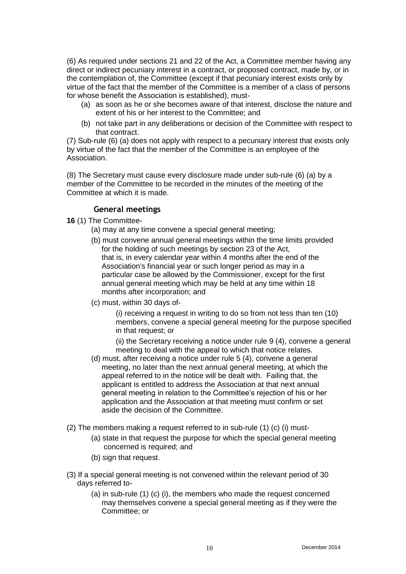(6) As required under sections 21 and 22 of the Act, a Committee member having any direct or indirect pecuniary interest in a contract, or proposed contract, made by, or in the contemplation of, the Committee (except if that pecuniary interest exists only by virtue of the fact that the member of the Committee is a member of a class of persons for whose benefit the Association is established), must-

- (a) as soon as he or she becomes aware of that interest, disclose the nature and extent of his or her interest to the Committee; and
- (b) not take part in any deliberations or decision of the Committee with respect to that contract.

(7) Sub-rule (6) (a) does not apply with respect to a pecuniary interest that exists only by virtue of the fact that the member of the Committee is an employee of the Association.

(8) The Secretary must cause every disclosure made under sub-rule (6) (a) by a member of the Committee to be recorded in the minutes of the meeting of the Committee at which it is made.

#### **General meetings**

**16** (1) The Committee-

- (a) may at any time convene a special general meeting;
- (b) must convene annual general meetings within the time limits provided for the holding of such meetings by section 23 of the Act, that is, in every calendar year within 4 months after the end of the Association's financial year or such longer period as may in a particular case be allowed by the Commissioner, except for the first annual general meeting which may be held at any time within 18 months after incorporation; and
- (c) must, within 30 days of-

(i) receiving a request in writing to do so from not less than ten (10) members, convene a special general meeting for the purpose specified in that request; or

(ii) the Secretary receiving a notice under rule 9 (4), convene a general meeting to deal with the appeal to which that notice relates.

- (d) must, after receiving a notice under rule 5 (4), convene a general meeting, no later than the next annual general meeting, at which the appeal referred to in the notice will be dealt with. Failing that, the applicant is entitled to address the Association at that next annual general meeting in relation to the Committee's rejection of his or her application and the Association at that meeting must confirm or set aside the decision of the Committee.
- (2) The members making a request referred to in sub-rule (1) (c) (i) must-
	- (a) state in that request the purpose for which the special general meeting concerned is required; and
	- (b) sign that request.
- (3) If a special general meeting is not convened within the relevant period of 30 days referred to-
	- (a) in sub-rule (1) (c) (i), the members who made the request concerned may themselves convene a special general meeting as if they were the Committee; or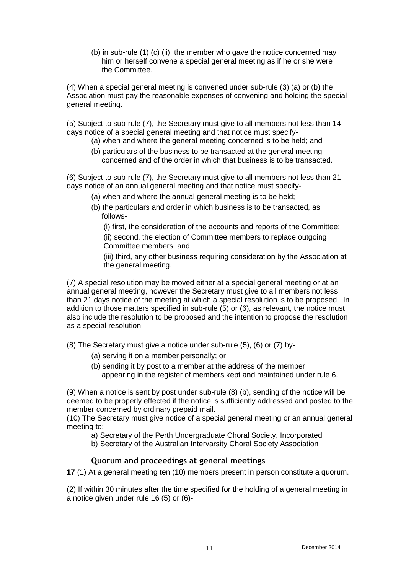(b) in sub-rule (1) (c) (ii), the member who gave the notice concerned may him or herself convene a special general meeting as if he or she were the Committee.

(4) When a special general meeting is convened under sub-rule (3) (a) or (b) the Association must pay the reasonable expenses of convening and holding the special general meeting.

(5) Subject to sub-rule (7), the Secretary must give to all members not less than 14 days notice of a special general meeting and that notice must specify-

- (a) when and where the general meeting concerned is to be held; and
- (b) particulars of the business to be transacted at the general meeting concerned and of the order in which that business is to be transacted.

(6) Subject to sub-rule (7), the Secretary must give to all members not less than 21 days notice of an annual general meeting and that notice must specify-

- (a) when and where the annual general meeting is to be held;
- (b) the particulars and order in which business is to be transacted, as follows-

(i) first, the consideration of the accounts and reports of the Committee;

(ii) second, the election of Committee members to replace outgoing Committee members; and

(iii) third, any other business requiring consideration by the Association at the general meeting.

(7) A special resolution may be moved either at a special general meeting or at an annual general meeting, however the Secretary must give to all members not less than 21 days notice of the meeting at which a special resolution is to be proposed. In addition to those matters specified in sub-rule (5) or (6), as relevant, the notice must also include the resolution to be proposed and the intention to propose the resolution as a special resolution.

(8) The Secretary must give a notice under sub-rule (5), (6) or (7) by-

- (a) serving it on a member personally; or
- (b) sending it by post to a member at the address of the member appearing in the register of members kept and maintained under rule 6.

(9) When a notice is sent by post under sub-rule (8) (b), sending of the notice will be deemed to be properly effected if the notice is sufficiently addressed and posted to the member concerned by ordinary prepaid mail.

(10) The Secretary must give notice of a special general meeting or an annual general meeting to:

a) Secretary of the Perth Undergraduate Choral Society, Incorporated

b) Secretary of the Australian Intervarsity Choral Society Association

## **Quorum and proceedings at general meetings**

**17** (1) At a general meeting ten (10) members present in person constitute a quorum.

(2) If within 30 minutes after the time specified for the holding of a general meeting in a notice given under rule 16 (5) or (6)-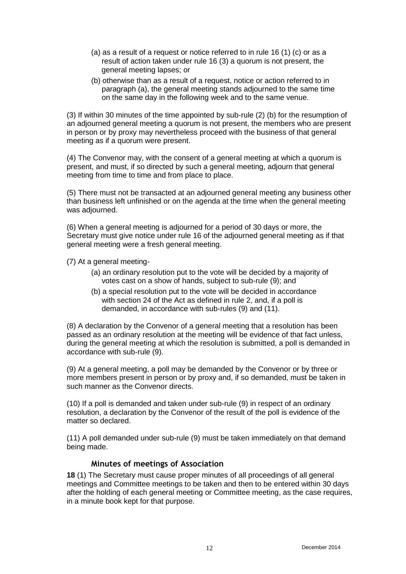- (a) as a result of a request or notice referred to in rule 16 (1) (c) or as a result of action taken under rule 16 (3) a quorum is not present, the general meeting lapses; or
- (b) otherwise than as a result of a request, notice or action referred to in paragraph (a), the general meeting stands adjourned to the same time on the same day in the following week and to the same venue.

(3) If within 30 minutes of the time appointed by sub-rule (2) (b) for the resumption of an adjourned general meeting a quorum is not present, the members who are present in person or by proxy may nevertheless proceed with the business of that general meeting as if a quorum were present.

(4) The Convenor may, with the consent of a general meeting at which a quorum is present, and must, if so directed by such a general meeting, adjourn that general meeting from time to time and from place to place.

(5) There must not be transacted at an adjourned general meeting any business other than business left unfinished or on the agenda at the time when the general meeting was adjourned.

(6) When a general meeting is adjourned for a period of 30 days or more, the Secretary must give notice under rule 16 of the adjourned general meeting as if that general meeting were a fresh general meeting.

(7) At a general meeting-

- (a) an ordinary resolution put to the vote will be decided by a majority of votes cast on a show of hands, subject to sub-rule (9); and
- (b) a special resolution put to the vote will be decided in accordance with section 24 of the Act as defined in rule 2, and, if a poll is demanded, in accordance with sub-rules (9) and (11).

(8) A declaration by the Convenor of a general meeting that a resolution has been passed as an ordinary resolution at the meeting will be evidence of that fact unless, during the general meeting at which the resolution is submitted, a poll is demanded in accordance with sub-rule (9).

(9) At a general meeting, a poll may be demanded by the Convenor or by three or more members present in person or by proxy and, if so demanded, must be taken in such manner as the Convenor directs.

(10) If a poll is demanded and taken under sub-rule (9) in respect of an ordinary resolution, a declaration by the Convenor of the result of the poll is evidence of the matter so declared.

(11) A poll demanded under sub-rule (9) must be taken immediately on that demand being made.

#### **Minutes of meetings of Association**

**18** (1) The Secretary must cause proper minutes of all proceedings of all general meetings and Committee meetings to be taken and then to be entered within 30 days after the holding of each general meeting or Committee meeting, as the case requires, in a minute book kept for that purpose.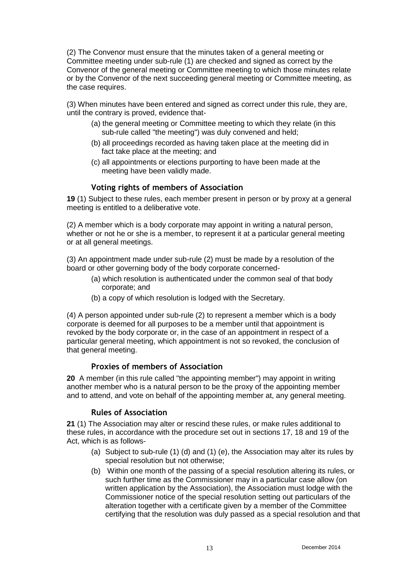(2) The Convenor must ensure that the minutes taken of a general meeting or Committee meeting under sub-rule (1) are checked and signed as correct by the Convenor of the general meeting or Committee meeting to which those minutes relate or by the Convenor of the next succeeding general meeting or Committee meeting, as the case requires.

(3) When minutes have been entered and signed as correct under this rule, they are, until the contrary is proved, evidence that-

- (a) the general meeting or Committee meeting to which they relate (in this sub-rule called "the meeting") was duly convened and held;
- (b) all proceedings recorded as having taken place at the meeting did in fact take place at the meeting; and
- (c) all appointments or elections purporting to have been made at the meeting have been validly made.

## **Voting rights of members of Association**

**19** (1) Subject to these rules, each member present in person or by proxy at a general meeting is entitled to a deliberative vote.

(2) A member which is a body corporate may appoint in writing a natural person, whether or not he or she is a member, to represent it at a particular general meeting or at all general meetings.

(3) An appointment made under sub-rule (2) must be made by a resolution of the board or other governing body of the body corporate concerned-

- (a) which resolution is authenticated under the common seal of that body corporate; and
- (b) a copy of which resolution is lodged with the Secretary.

(4) A person appointed under sub-rule (2) to represent a member which is a body corporate is deemed for all purposes to be a member until that appointment is revoked by the body corporate or, in the case of an appointment in respect of a particular general meeting, which appointment is not so revoked, the conclusion of that general meeting.

## **Proxies of members of Association**

**20** A member (in this rule called "the appointing member") may appoint in writing another member who is a natural person to be the proxy of the appointing member and to attend, and vote on behalf of the appointing member at, any general meeting.

## **Rules of Association**

**21** (1) The Association may alter or rescind these rules, or make rules additional to these rules, in accordance with the procedure set out in sections 17, 18 and 19 of the Act, which is as follows-

- (a) Subject to sub-rule (1) (d) and (1) (e), the Association may alter its rules by special resolution but not otherwise;
- (b) Within one month of the passing of a special resolution altering its rules, or such further time as the Commissioner may in a particular case allow (on written application by the Association), the Association must lodge with the Commissioner notice of the special resolution setting out particulars of the alteration together with a certificate given by a member of the Committee certifying that the resolution was duly passed as a special resolution and that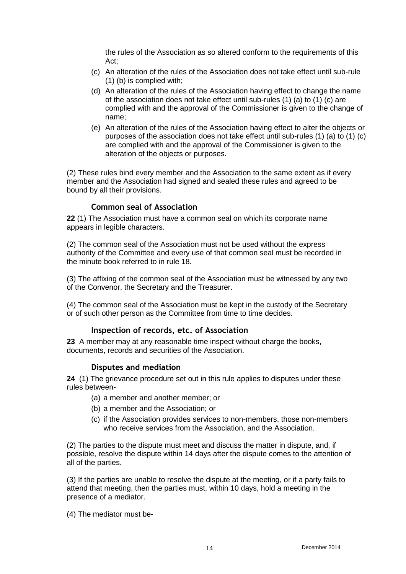the rules of the Association as so altered conform to the requirements of this Act;

- (c) An alteration of the rules of the Association does not take effect until sub-rule (1) (b) is complied with;
- (d) An alteration of the rules of the Association having effect to change the name of the association does not take effect until sub-rules (1) (a) to (1) (c) are complied with and the approval of the Commissioner is given to the change of name;
- (e) An alteration of the rules of the Association having effect to alter the objects or purposes of the association does not take effect until sub-rules (1) (a) to (1) (c) are complied with and the approval of the Commissioner is given to the alteration of the objects or purposes.

(2) These rules bind every member and the Association to the same extent as if every member and the Association had signed and sealed these rules and agreed to be bound by all their provisions.

#### **Common seal of Association**

**22** (1) The Association must have a common seal on which its corporate name appears in legible characters.

(2) The common seal of the Association must not be used without the express authority of the Committee and every use of that common seal must be recorded in the minute book referred to in rule 18.

(3) The affixing of the common seal of the Association must be witnessed by any two of the Convenor, the Secretary and the Treasurer.

(4) The common seal of the Association must be kept in the custody of the Secretary or of such other person as the Committee from time to time decides.

#### **Inspection of records, etc. of Association**

**23** A member may at any reasonable time inspect without charge the books, documents, records and securities of the Association.

#### **Disputes and mediation**

**24** (1) The grievance procedure set out in this rule applies to disputes under these rules between-

- (a) a member and another member; or
- (b) a member and the Association; or
- (c) if the Association provides services to non-members, those non-members who receive services from the Association, and the Association.

(2) The parties to the dispute must meet and discuss the matter in dispute, and, if possible, resolve the dispute within 14 days after the dispute comes to the attention of all of the parties.

(3) If the parties are unable to resolve the dispute at the meeting, or if a party fails to attend that meeting, then the parties must, within 10 days, hold a meeting in the presence of a mediator.

(4) The mediator must be-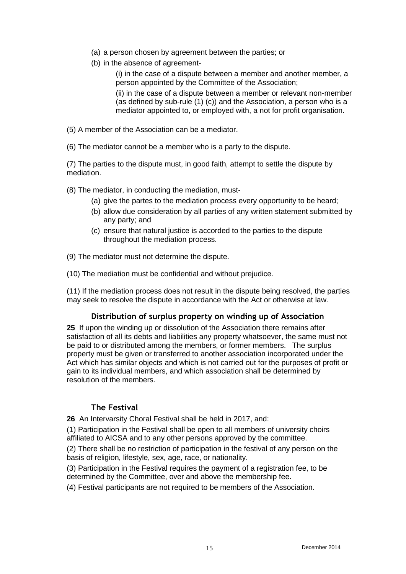- (a) a person chosen by agreement between the parties; or
- (b) in the absence of agreement-

(i) in the case of a dispute between a member and another member, a person appointed by the Committee of the Association;

(ii) in the case of a dispute between a member or relevant non-member (as defined by sub-rule (1) (c)) and the Association, a person who is a mediator appointed to, or employed with, a not for profit organisation.

- (5) A member of the Association can be a mediator.
- (6) The mediator cannot be a member who is a party to the dispute.

(7) The parties to the dispute must, in good faith, attempt to settle the dispute by mediation.

(8) The mediator, in conducting the mediation, must-

- (a) give the partes to the mediation process every opportunity to be heard;
- (b) allow due consideration by all parties of any written statement submitted by any party; and
- (c) ensure that natural justice is accorded to the parties to the dispute throughout the mediation process.
- (9) The mediator must not determine the dispute.
- (10) The mediation must be confidential and without prejudice.

(11) If the mediation process does not result in the dispute being resolved, the parties may seek to resolve the dispute in accordance with the Act or otherwise at law.

## **Distribution of surplus property on winding up of Association**

**25** If upon the winding up or dissolution of the Association there remains after satisfaction of all its debts and liabilities any property whatsoever, the same must not be paid to or distributed among the members, or former members. The surplus property must be given or transferred to another association incorporated under the Act which has similar objects and which is not carried out for the purposes of profit or gain to its individual members, and which association shall be determined by resolution of the members.

## **The Festival**

**26** An Intervarsity Choral Festival shall be held in 2017, and:

(1) Participation in the Festival shall be open to all members of university choirs affiliated to AICSA and to any other persons approved by the committee.

(2) There shall be no restriction of participation in the festival of any person on the basis of religion, lifestyle, sex, age, race, or nationality.

(3) Participation in the Festival requires the payment of a registration fee, to be determined by the Committee, over and above the membership fee.

(4) Festival participants are not required to be members of the Association.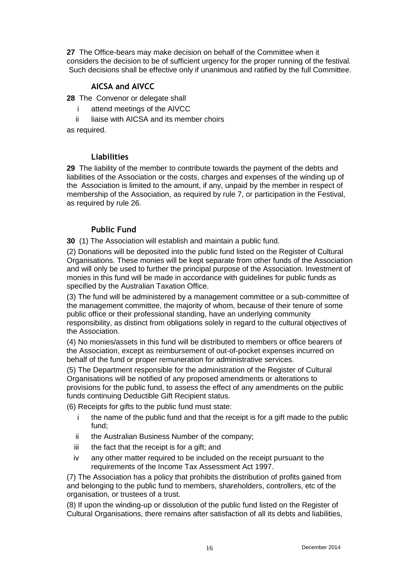**27** The Office-bears may make decision on behalf of the Committee when it considers the decision to be of sufficient urgency for the proper running of the festival. Such decisions shall be effective only if unanimous and ratified by the full Committee.

# **AICSA and AIVCC**

**28** The Convenor or delegate shall

- i attend meetings of the AIVCC
- ii liaise with AICSA and its member choirs

as required.

#### **Liabilities**

**29** The liability of the member to contribute towards the payment of the debts and liabilities of the Association or the costs, charges and expenses of the winding up of the Association is limited to the amount, if any, unpaid by the member in respect of membership of the Association, as required by rule 7, or participation in the Festival, as required by rule 26.

## **Public Fund**

**30** (1) The Association will establish and maintain a public fund.

(2) Donations will be deposited into the public fund listed on the Register of Cultural Organisations. These monies will be kept separate from other funds of the Association and will only be used to further the principal purpose of the Association. Investment of monies in this fund will be made in accordance with guidelines for public funds as specified by the Australian Taxation Office.

(3) The fund will be administered by a management committee or a sub-committee of the management committee, the majority of whom, because of their tenure of some public office or their professional standing, have an underlying community responsibility, as distinct from obligations solely in regard to the cultural objectives of the Association.

(4) No monies/assets in this fund will be distributed to members or office bearers of the Association, except as reimbursement of out-of-pocket expenses incurred on behalf of the fund or proper remuneration for administrative services.

(5) The Department responsible for the administration of the Register of Cultural Organisations will be notified of any proposed amendments or alterations to provisions for the public fund, to assess the effect of any amendments on the public funds continuing Deductible Gift Recipient status.

(6) Receipts for gifts to the public fund must state:

- i the name of the public fund and that the receipt is for a gift made to the public fund;
- ii the Australian Business Number of the company;
- iii the fact that the receipt is for a gift; and
- iv any other matter required to be included on the receipt pursuant to the requirements of the Income Tax Assessment Act 1997.

(7) The Association has a policy that prohibits the distribution of profits gained from and belonging to the public fund to members, shareholders, controllers, etc of the organisation, or trustees of a trust.

(8) If upon the winding-up or dissolution of the public fund listed on the Register of Cultural Organisations, there remains after satisfaction of all its debts and liabilities,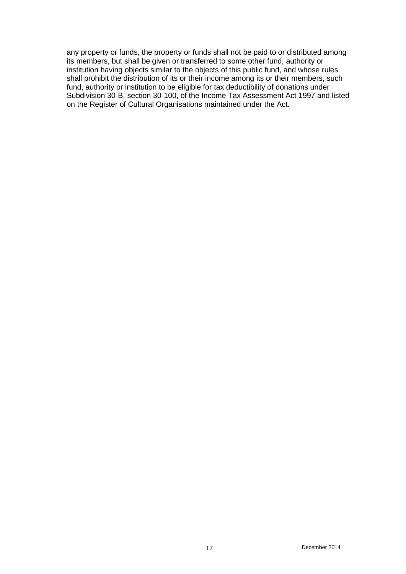any property or funds, the property or funds shall not be paid to or distributed among its members, but shall be given or transferred to some other fund, authority or institution having objects similar to the objects of this public fund, and whose rules shall prohibit the distribution of its or their income among its or their members, such fund, authority or institution to be eligible for tax deductibility of donations under Subdivision 30-B, section 30-100, of the Income Tax Assessment Act 1997 and listed on the Register of Cultural Organisations maintained under the Act.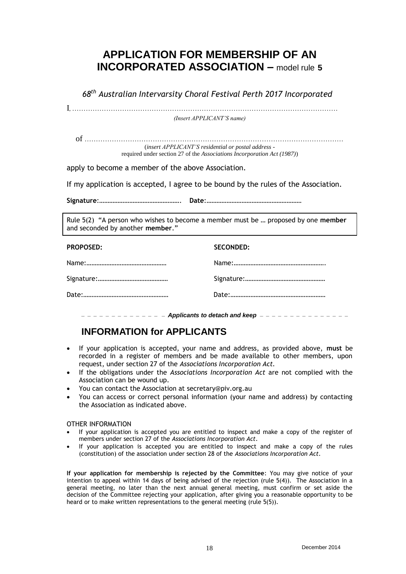# **APPLICATION FOR MEMBERSHIP OF AN INCORPORATED ASSOCIATION –** model rule **5**

*68 th Australian Intervarsity Choral Festival Perth 2017 Incorporated*

I, ………………………………………………………………………………………………………

*(Insert APPLICANT'S name)*

of …………………………………………………………………………………………………… (*insert APPLICANT'S residential or postal address* -

required under section 27 of the *Associations Incorporation Act (1987)*)

apply to become a member of the above Association.

If my application is accepted, I agree to be bound by the rules of the Association.

**Signature**:…………………………………………. **Date**:…………………………………………………

Rule 5(2) "A person who wishes to become a member must be … proposed by one **member**  and seconded by another **member**."

#### **PROPOSED: SECONDED:**

**\_ \_ \_ \_ \_ \_ \_ \_ \_ \_ \_ \_ \_ \_** *Applicants to detach and keep* **\_ \_ \_ \_ \_ \_ \_ \_ \_ \_ \_ \_ \_ \_ \_** 

# **INFORMATION for APPLICANTS**

- If your application is accepted, your name and address, as provided above, **must** be recorded in a register of members and be made available to other members, upon request, under section 27 of the *Associations Incorporation Act.*
- If the obligations under the *Associations Incorporation Act* are not complied with the Association can be wound up.
- You can contact the Association at secretary@piv.org.au
- You can access or correct personal information (your name and address) by contacting the Association as indicated above.

#### OTHER INFORMATION

- If your application is accepted you are entitled to inspect and make a copy of the register of members under section 27 of the *Associations Incorporation Act*.
- If your application is accepted you are entitled to inspect and make a copy of the rules (constitution) of the association under section 28 of the *Associations Incorporation Act*.

**If your application for membership is rejected by the Committee**: You may give notice of your intention to appeal within 14 days of being advised of the rejection (rule 5(4)). The Association in a general meeting, no later than the next annual general meeting, must confirm or set aside the decision of the Committee rejecting your application, after giving you a reasonable opportunity to be heard or to make written representations to the general meeting (rule 5(5)).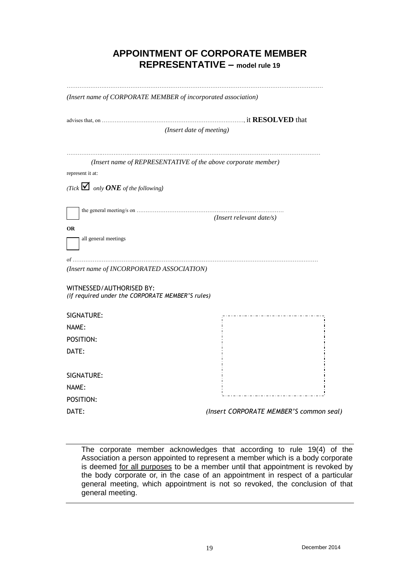# **APPOINTMENT OF CORPORATE MEMBER REPRESENTATIVE – model rule 19**

| (Insert name of CORPORATE MEMBER of incorporated association)                |                                                               |  |
|------------------------------------------------------------------------------|---------------------------------------------------------------|--|
|                                                                              |                                                               |  |
| (Insert date of meeting)                                                     |                                                               |  |
|                                                                              | (Insert name of REPRESENTATIVE of the above corporate member) |  |
| represent it at:                                                             |                                                               |  |
| (Tick $\blacksquare$ only <b>ONE</b> of the following)                       |                                                               |  |
|                                                                              | (Insert relevant date/s)                                      |  |
| <b>OR</b>                                                                    |                                                               |  |
| all general meetings                                                         |                                                               |  |
|                                                                              |                                                               |  |
| of<br>(Insert name of INCORPORATED ASSOCIATION)                              |                                                               |  |
|                                                                              |                                                               |  |
| WITNESSED/AUTHORISED BY:<br>(if required under the CORPORATE MEMBER'S rules) |                                                               |  |
|                                                                              |                                                               |  |
| SIGNATURE:                                                                   |                                                               |  |
| NAME:                                                                        |                                                               |  |
| POSITION:                                                                    |                                                               |  |
| DATE:                                                                        |                                                               |  |
|                                                                              |                                                               |  |
| SIGNATURE:                                                                   |                                                               |  |
| NAME:                                                                        |                                                               |  |
| POSITION:                                                                    |                                                               |  |
| DATE:                                                                        | (Insert CORPORATE MEMBER'S common seal)                       |  |

The corporate member acknowledges that according to rule 19(4) of the Association a person appointed to represent a member which is a body corporate is deemed for all purposes to be a member until that appointment is revoked by the body corporate or, in the case of an appointment in respect of a particular general meeting, which appointment is not so revoked, the conclusion of that general meeting.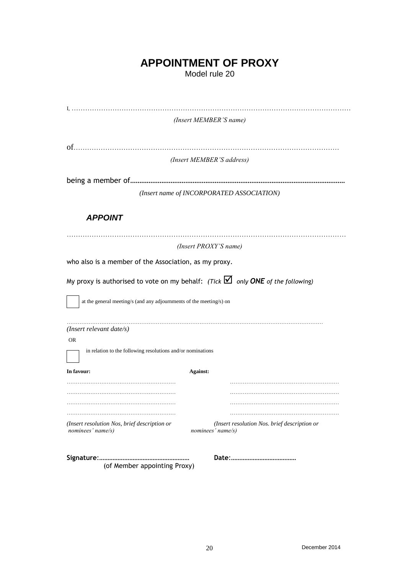# **APPOINTMENT OF PROXY**

Model rule 20

|                                                                                                      | (Insert MEMBER'S name)                                            |  |
|------------------------------------------------------------------------------------------------------|-------------------------------------------------------------------|--|
|                                                                                                      |                                                                   |  |
|                                                                                                      | (Insert MEMBER'S address)                                         |  |
|                                                                                                      |                                                                   |  |
|                                                                                                      | (Insert name of INCORPORATED ASSOCIATION)                         |  |
| <b>APPOINT</b>                                                                                       |                                                                   |  |
| (Insert PROXY'S name)                                                                                |                                                                   |  |
| who also is a member of the Association, as my proxy.                                                |                                                                   |  |
| My proxy is authorised to vote on my behalf: (Tick $\Box$ only ONE of the following)                 |                                                                   |  |
| at the general meeting/s (and any adjournments of the meeting/s) on                                  |                                                                   |  |
| (Insert relevant date/s)<br><b>OR</b><br>in relation to the following resolutions and/or nominations |                                                                   |  |
|                                                                                                      |                                                                   |  |
| In favour:                                                                                           | Against:                                                          |  |
|                                                                                                      |                                                                   |  |
|                                                                                                      |                                                                   |  |
| (Insert resolution Nos, brief description or<br>nominees' name/s)                                    | (Insert resolution Nos. brief description or<br>nominees' name/s) |  |
| (of Member appointing Proxy)                                                                         |                                                                   |  |